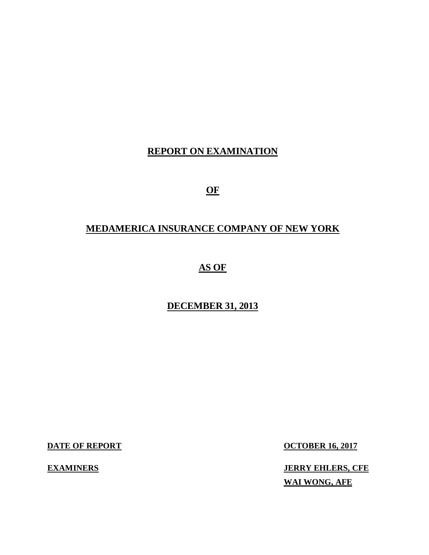## **REPORT ON EXAMINATION**

 **OF** 

## **MEDAMERICA INSURANCE COMPANY OF NEW YORK**

## **AS OF**

### **DECEMBER 31, 2013**

**DATE OF REPORT** 

**EXAMINERS** 

**OCTOBER 16, 2017** 

 **WAI WONG, AFE JERRY EHLERS, CFE**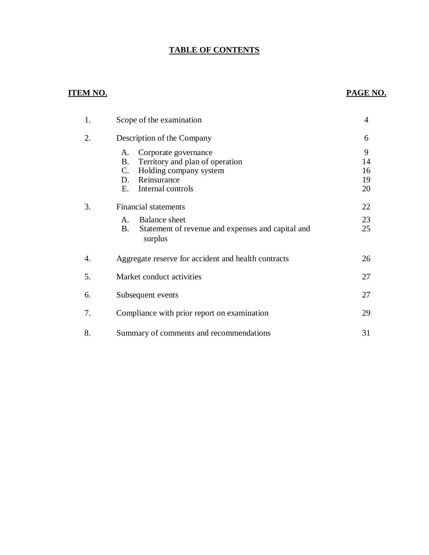#### **TABLE OF CONTENTS**

#### **ITEM NO. PAGE NO.**

| 1. | Scope of the examination                                                                                                                                   |                           |  |
|----|------------------------------------------------------------------------------------------------------------------------------------------------------------|---------------------------|--|
| 2. | Description of the Company                                                                                                                                 | 6                         |  |
|    | Corporate governance<br>A.<br>Territory and plan of operation<br><b>B.</b><br>Holding company system<br>C.<br>Reinsurance<br>D.<br>Internal controls<br>Е. | 9<br>14<br>16<br>19<br>20 |  |
| 3. | <b>Financial statements</b>                                                                                                                                | 22                        |  |
|    | Balance sheet<br>$\mathsf{A}$ .<br>B.<br>Statement of revenue and expenses and capital and<br>surplus                                                      | 23<br>25                  |  |
| 4. | Aggregate reserve for accident and health contracts                                                                                                        | 26                        |  |
| 5. | Market conduct activities                                                                                                                                  | 27                        |  |
| 6. | Subsequent events                                                                                                                                          | 27                        |  |
| 7. | Compliance with prior report on examination                                                                                                                | 29                        |  |
| 8. | Summary of comments and recommendations                                                                                                                    | 31                        |  |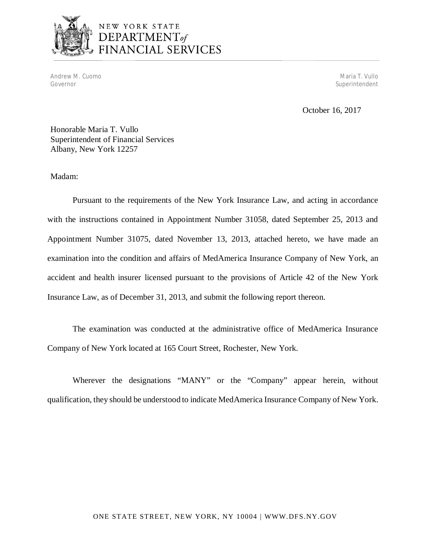

# NEW YORK STATE DEPARTMENT<sub>of</sub><br>FINANCIAL SERVICES

Andrew M. Cuomo Maria T. Vullo (1999), and the control of the control of the control of the control of the control of the control of the control of the control of the control of the control of the control of the control of Governor Superintendent Superintendent Superintendent Superintendent Superintendent Superintendent Superintendent

October 16, 2017

 Honorable Maria T. Vullo Superintendent of Financial Services Albany, New York 12257

Madam:

 Pursuant to the requirements of the New York Insurance Law, and acting in accordance with the instructions contained in Appointment Number 31058, dated September 25, 2013 and Appointment Number 31075, dated November 13, 2013, attached hereto, we have made an examination into the condition and affairs of MedAmerica Insurance Company of New York, an accident and health insurer licensed pursuant to the provisions of Article 42 of the New York Insurance Law, as of December 31, 2013, and submit the following report thereon.

 The examination was conducted at the administrative office of MedAmerica Insurance Company of New York located at 165 Court Street, Rochester, New York.

 Wherever the designations "MANY" or the "Company" appear herein, without qualification, they should be understood to indicate MedAmerica Insurance Company of New York.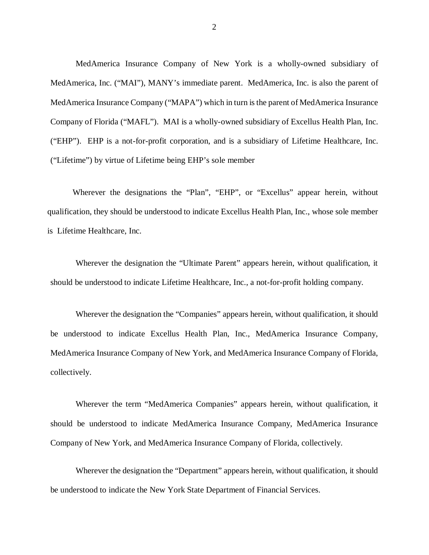MedAmerica Insurance Company of New York is a wholly-owned subsidiary of MedAmerica, Inc. ("MAI"), MANY's immediate parent. MedAmerica, Inc. is also the parent of MedAmerica Insurance Company ("MAPA") which in turn is the parent of MedAmerica Insurance Company of Florida ("MAFL"). MAI is a wholly-owned subsidiary of Excellus Health Plan, Inc. ("EHP"). EHP is a not-for-profit corporation, and is a subsidiary of Lifetime Healthcare, Inc. ("Lifetime") by virtue of Lifetime being EHP's sole member

 Wherever the designations the "Plan", "EHP", or "Excellus" appear herein, without qualification, they should be understood to indicate Excellus Health Plan, Inc., whose sole member is Lifetime Healthcare, Inc.

 Wherever the designation the "Ultimate Parent" appears herein, without qualification, it should be understood to indicate Lifetime Healthcare, Inc., a not-for-profit holding company.

 Wherever the designation the "Companies" appears herein, without qualification, it should be understood to indicate Excellus Health Plan, Inc., MedAmerica Insurance Company, MedAmerica Insurance Company of New York, and MedAmerica Insurance Company of Florida, collectively.

 Wherever the term "MedAmerica Companies" appears herein, without qualification, it should be understood to indicate MedAmerica Insurance Company, MedAmerica Insurance Company of New York, and MedAmerica Insurance Company of Florida, collectively.

 Wherever the designation the "Department" appears herein, without qualification, it should be understood to indicate the New York State Department of Financial Services.

2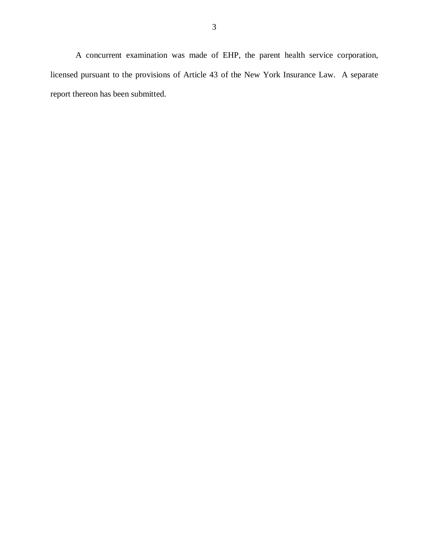A concurrent examination was made of EHP, the parent health service corporation, licensed pursuant to the provisions of Article 43 of the New York Insurance Law. A separate report thereon has been submitted.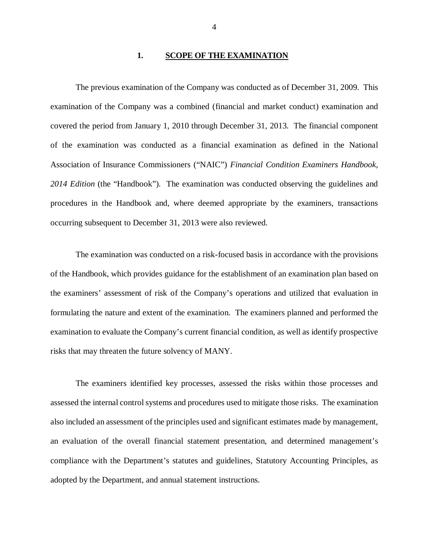#### **1. SCOPE OF THE EXAMINATION**

 examination of the Company was a combined (financial and market conduct) examination and covered the period from January 1, 2010 through December 31, 2013. The financial component of the examination was conducted as a financial examination as defined in the National Association of Insurance Commissioners ("NAIC") *Financial Condition Examiners Handbook,*  2014 Edition (the "Handbook"). The examination was conducted observing the guidelines and procedures in the Handbook and, where deemed appropriate by the examiners, transactions occurring subsequent to December 31, 2013 were also reviewed. The previous examination of the Company was conducted as of December 31, 2009. This

 of the Handbook, which provides guidance for the establishment of an examination plan based on the examiners' assessment of risk of the Company's operations and utilized that evaluation in formulating the nature and extent of the examination. The examiners planned and performed the examination to evaluate the Company's current financial condition, as well as identify prospective risks that may threaten the future solvency of MANY. The examination was conducted on a risk-focused basis in accordance with the provisions

 assessed the internal control systems and procedures used to mitigate those risks. The examination also included an assessment of the principles used and significant estimates made by management, an evaluation of the overall financial statement presentation, and determined management's compliance with the Department's statutes and guidelines, Statutory Accounting Principles, as adopted by the Department, and annual statement instructions. The examiners identified key processes, assessed the risks within those processes and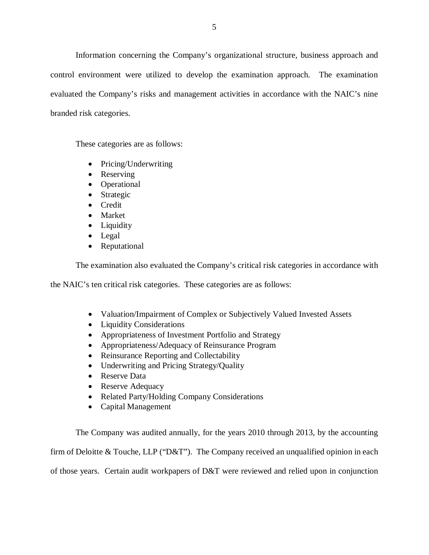Information concerning the Company's organizational structure, business approach and control environment were utilized to develop the examination approach. The examination evaluated the Company's risks and management activities in accordance with the NAIC's nine branded risk categories.

These categories are as follows:

- Pricing/Underwriting
- Reserving
- Operational
- Strategic
- Credit
- Market
- Liquidity
- Legal
- Reputational

The examination also evaluated the Company's critical risk categories in accordance with

the NAIC's ten critical risk categories. These categories are as follows:

- Valuation/Impairment of Complex or Subjectively Valued Invested Assets
- Liquidity Considerations
- Appropriateness of Investment Portfolio and Strategy
- Appropriateness/Adequacy of Reinsurance Program
- Reinsurance Reporting and Collectability
- Underwriting and Pricing Strategy/Quality
- Reserve Data
- Reserve Adequacy
- Related Party/Holding Company Considerations
- Capital Management

 The Company was audited annually, for the years 2010 through 2013, by the accounting firm of Deloitte & Touche, LLP ("D&T"). The Company received an unqualified opinion in each of those years. Certain audit workpapers of D&T were reviewed and relied upon in conjunction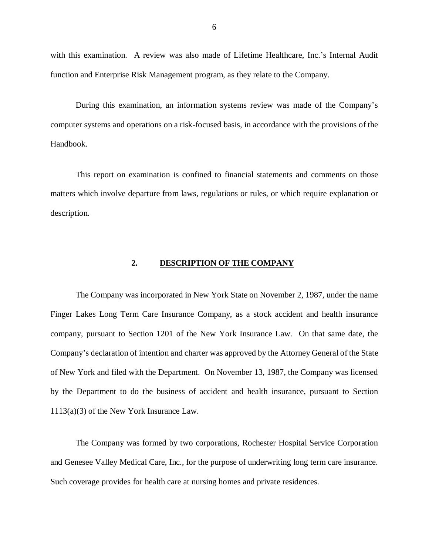<span id="page-7-0"></span> with this examination. A review was also made of Lifetime Healthcare, Inc.'s Internal Audit function and Enterprise Risk Management program, as they relate to the Company.

 During this examination, an information systems review was made of the Company's computer systems and operations on a risk-focused basis, in accordance with the provisions of the Handbook.

 matters which involve departure from laws, regulations or rules, or which require explanation or This report on examination is confined to financial statements and comments on those description.

#### **2. DESCRIPTION OF THE COMPANY**

 The Company was incorporated in New York State on November 2, 1987, under the name Finger Lakes Long Term Care Insurance Company, as a stock accident and health insurance company, pursuant to Section 1201 of the New York Insurance Law. On that same date, the Company's declaration of intention and charter was approved by the Attorney General of the State of New York and filed with the Department. On November 13, 1987, the Company was licensed by the Department to do the business of accident and health insurance, pursuant to Section 1113(a)(3) of the New York Insurance Law.

 The Company was formed by two corporations, Rochester Hospital Service Corporation and Genesee Valley Medical Care, Inc., for the purpose of underwriting long term care insurance. Such coverage provides for health care at nursing homes and private residences.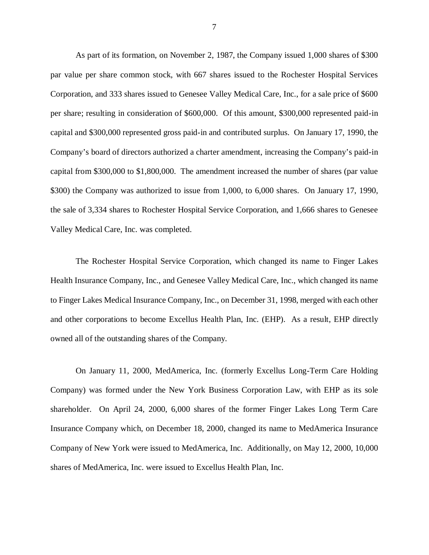As part of its formation, on November 2, 1987, the Company issued 1,000 shares of \$300 par value per share common stock, with 667 shares issued to the Rochester Hospital Services Corporation, and 333 shares issued to Genesee Valley Medical Care, Inc., for a sale price of \$600 per share; resulting in consideration of \$600,000. Of this amount, \$300,000 represented paid-in capital and \$300,000 represented gross paid-in and contributed surplus. On January 17, 1990, the Company's board of directors authorized a charter amendment, increasing the Company's paid-in capital from \$300,000 to \$1,800,000. The amendment increased the number of shares (par value \$300) the Company was authorized to issue from 1,000, to 6,000 shares. On January 17, 1990, the sale of 3,334 shares to Rochester Hospital Service Corporation, and 1,666 shares to Genesee Valley Medical Care, Inc. was completed.

 The Rochester Hospital Service Corporation, which changed its name to Finger Lakes Health Insurance Company, Inc., and Genesee Valley Medical Care, Inc., which changed its name to Finger Lakes Medical Insurance Company, Inc., on December 31, 1998, merged with each other and other corporations to become Excellus Health Plan, Inc. (EHP). As a result, EHP directly owned all of the outstanding shares of the Company.

 On January 11, 2000, MedAmerica, Inc. (formerly Excellus Long-Term Care Holding Company) was formed under the New York Business Corporation Law, with EHP as its sole shareholder. On April 24, 2000, 6,000 shares of the former Finger Lakes Long Term Care Insurance Company which, on December 18, 2000, changed its name to MedAmerica Insurance Company of New York were issued to MedAmerica, Inc. Additionally, on May 12, 2000, 10,000 shares of MedAmerica, Inc. were issued to Excellus Health Plan, Inc.

7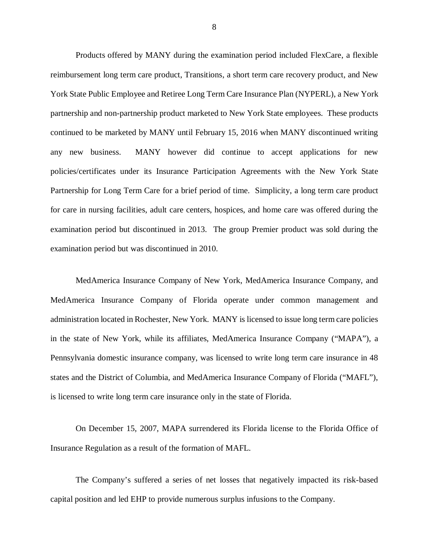Products offered by MANY during the examination period included FlexCare, a flexible reimbursement long term care product, Transitions, a short term care recovery product, and New York State Public Employee and Retiree Long Term Care Insurance Plan (NYPERL), a New York partnership and non-partnership product marketed to New York State employees. These products continued to be marketed by MANY until February 15, 2016 when MANY discontinued writing any new business. policies/certificates under its Insurance Participation Agreements with the New York State Partnership for Long Term Care for a brief period of time. Simplicity, a long term care product for care in nursing facilities, adult care centers, hospices, and home care was offered during the examination period but discontinued in 2013. The group Premier product was sold during the examination period but was discontinued in 2010. MANY however did continue to accept applications for new

 MedAmerica Insurance Company of New York, MedAmerica Insurance Company, and MedAmerica Insurance Company of Florida operate under common management and administration located in Rochester, New York. MANY is licensed to issue long term care policies in the state of New York, while its affiliates, MedAmerica Insurance Company ("MAPA"), a Pennsylvania domestic insurance company, was licensed to write long term care insurance in 48 states and the District of Columbia, and MedAmerica Insurance Company of Florida ("MAFL"), is licensed to write long term care insurance only in the state of Florida.

 On December 15, 2007, MAPA surrendered its Florida license to the Florida Office of Insurance Regulation as a result of the formation of MAFL.

 The Company's suffered a series of net losses that negatively impacted its risk-based capital position and led EHP to provide numerous surplus infusions to the Company.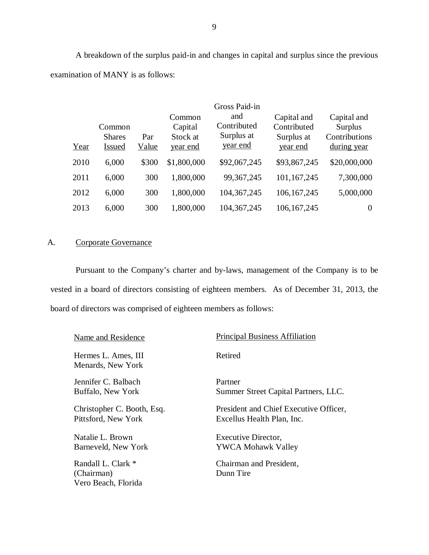<span id="page-10-0"></span> A breakdown of the surplus paid-in and changes in capital and surplus since the previous examination of MANY is as follows:

|      |                                          |              |                                           | Gross Paid-in                                |                                                      |                                                        |
|------|------------------------------------------|--------------|-------------------------------------------|----------------------------------------------|------------------------------------------------------|--------------------------------------------------------|
| Year | Common<br><b>Shares</b><br><b>Issued</b> | Par<br>Value | Common<br>Capital<br>Stock at<br>year end | and<br>Contributed<br>Surplus at<br>year end | Capital and<br>Contributed<br>Surplus at<br>year end | Capital and<br>Surplus<br>Contributions<br>during year |
| 2010 | 6,000                                    | \$300        | \$1,800,000                               | \$92,067,245                                 | \$93,867,245                                         | \$20,000,000                                           |
| 2011 | 6,000                                    | 300          | 1,800,000                                 | 99, 367, 245                                 | 101,167,245                                          | 7,300,000                                              |
| 2012 | 6,000                                    | 300          | 1,800,000                                 | 104, 367, 245                                | 106, 167, 245                                        | 5,000,000                                              |
| 2013 | 6,000                                    | 300          | 1,800,000                                 | 104, 367, 245                                | 106, 167, 245                                        | $\boldsymbol{0}$                                       |

#### A. Corporate Governance

 Pursuant to the Company's charter and by-laws, management of the Company is to be vested in a board of directors consisting of eighteen members. As of December 31, 2013, the board of directors was comprised of eighteen members as follows:

| Name and Residence                                      | <b>Principal Business Affiliation</b>  |
|---------------------------------------------------------|----------------------------------------|
| Hermes L. Ames, III<br>Menards, New York                | Retired                                |
| Jennifer C. Balbach                                     | Partner                                |
| Buffalo, New York                                       | Summer Street Capital Partners, LLC.   |
| Christopher C. Booth, Esq.                              | President and Chief Executive Officer, |
| Pittsford, New York                                     | Excellus Health Plan, Inc.             |
| Natalie L. Brown                                        | Executive Director,                    |
| Barneveld, New York                                     | <b>YWCA Mohawk Valley</b>              |
| Randall L. Clark *<br>(Chairman)<br>Vero Beach, Florida | Chairman and President,<br>Dunn Tire   |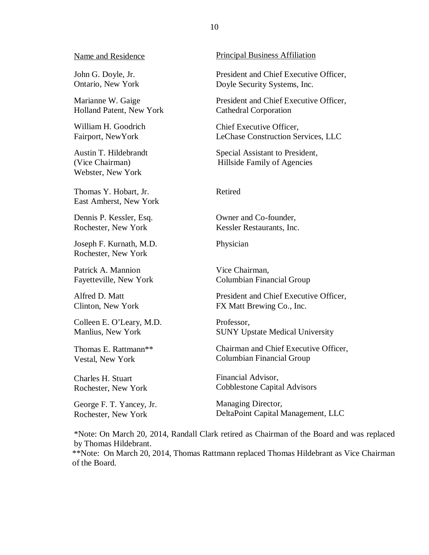#### Name and Residence

 John G. Doyle, Jr. Ontario, New York

 Marianne W. Gaige Holland Patent, New York

 William H. Goodrich Fairport, NewYork

 Austin T. Hildebrandt (Vice Chairman) Webster, New York

 Thomas Y. Hobart, Jr. East Amherst, New York

 Dennis P. Kessler, Esq. Rochester, New York

 Joseph F. Kurnath, M.D. Rochester, New York

 Patrick A. Mannion Fayetteville, New York

 Alfred D. Matt Clinton, New York

 Colleen E. O'Leary, M.D. Manlius, New York

 Thomas E. Rattmann\*\* Vestal, New York

 Charles H. Stuart Rochester, New York

 George F. T. Yancey, Jr. Rochester, New York

#### Principal Business Affiliation

 President and Chief Executive Officer, Doyle Security Systems, Inc.

 President and Chief Executive Officer, Cathedral Corporation

 Chief Executive Officer, LeChase Construction Services, LLC

 Special Assistant to President, Hillside Family of Agencies

#### Retired

Owner and Co-founder, Kessler Restaurants, Inc.

Physician

Physician<br>Vice Chairman, Columbian Financial Group

 President and Chief Executive Officer, FX Matt Brewing Co., Inc.

Professor, SUNY Upstate Medical University

 Chairman and Chief Executive Officer, Columbian Financial Group

 Financial Advisor, Cobblestone Capital Advisors

Managing Director, DeltaPoint Capital Management, LLC

 \*Note: On March 20, 2014, Randall Clark retired as Chairman of the Board and was replaced by Thomas Hildebrant.

 \*\*Note: On March 20, 2014, Thomas Rattmann replaced Thomas Hildebrant as Vice Chairman of the Board.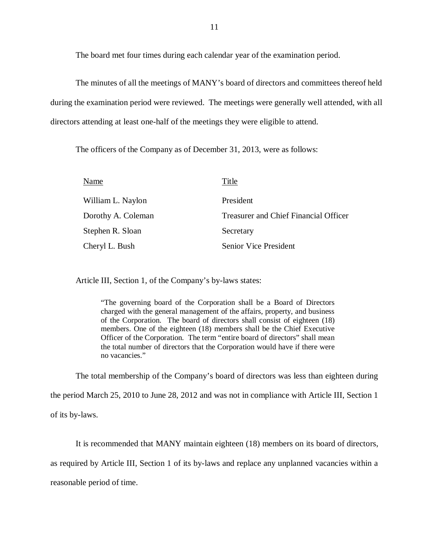The board met four times during each calendar year of the examination period.

 The minutes of all the meetings of MANY's board of directors and committees thereof held during the examination period were reviewed. The meetings were generally well attended, with all directors attending at least one-half of the meetings they were eligible to attend.

The officers of the Company as of December 31, 2013, were as follows:

| Name               | Title                                        |
|--------------------|----------------------------------------------|
| William L. Naylon  | President                                    |
| Dorothy A. Coleman | <b>Treasurer and Chief Financial Officer</b> |
| Stephen R. Sloan   | Secretary                                    |
| Cheryl L. Bush     | <b>Senior Vice President</b>                 |

Article III, Section 1, of the Company's by-laws states:

 "The governing board of the Corporation shall be a Board of Directors charged with the general management of the affairs, property, and business of the Corporation. The board of directors shall consist of eighteen (18) members. One of the eighteen (18) members shall be the Chief Executive Officer of the Corporation. The term "entire board of directors" shall mean the total number of directors that the Corporation would have if there were no vacancies."

The total membership of the Company's board of directors was less than eighteen during

the period March 25, 2010 to June 28, 2012 and was not in compliance with Article III, Section 1

of its by-laws.

It is recommended that MANY maintain eighteen (18) members on its board of directors,

as required by Article III, Section 1 of its by-laws and replace any unplanned vacancies within a

reasonable period of time.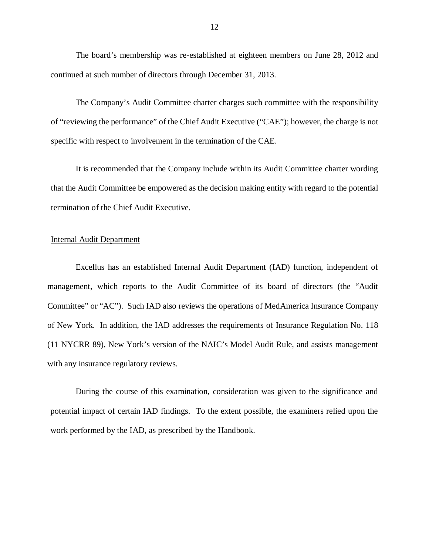The board's membership was re-established at eighteen members on June 28, 2012 and continued at such number of directors through December 31, 2013.

 The Company's Audit Committee charter charges such committee with the responsibility of "reviewing the performance" of the Chief Audit Executive ("CAE"); however, the charge is not specific with respect to involvement in the termination of the CAE.

 that the Audit Committee be empowered as the decision making entity with regard to the potential termination of the Chief Audit Executive. It is recommended that the Company include within its Audit Committee charter wording

#### Internal Audit Department

 Excellus has an established Internal Audit Department (IAD) function, independent of management, which reports to the Audit Committee of its board of directors (the "Audit Committee" or "AC"). Such IAD also reviews the operations of MedAmerica Insurance Company of New York. In addition, the IAD addresses the requirements of Insurance Regulation No. 118 (11 NYCRR 89), New York's version of the NAIC's Model Audit Rule, and assists management with any insurance regulatory reviews.

 During the course of this examination, consideration was given to the significance and potential impact of certain IAD findings. To the extent possible, the examiners relied upon the work performed by the IAD, as prescribed by the Handbook.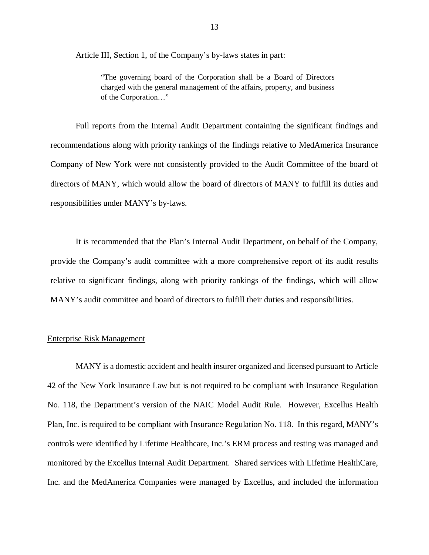Article III, Section 1, of the Company's by-laws states in part:

 "The governing board of the Corporation shall be a Board of Directors charged with the general management of the affairs, property, and business of the Corporation…"

 recommendations along with priority rankings of the findings relative to MedAmerica Insurance Company of New York were not consistently provided to the Audit Committee of the board of directors of MANY, which would allow the board of directors of MANY to fulfill its duties and responsibilities under MANY's by-laws. Full reports from the Internal Audit Department containing the significant findings and

 provide the Company's audit committee with a more comprehensive report of its audit results relative to significant findings, along with priority rankings of the findings, which will allow MANY's audit committee and board of directors to fulfill their duties and responsibilities. It is recommended that the Plan's Internal Audit Department, on behalf of the Company,

#### Enterprise Risk Management

 MANY is a domestic accident and health insurer organized and licensed pursuant to Article 42 of the New York Insurance Law but is not required to be compliant with Insurance Regulation No. 118, the Department's version of the NAIC Model Audit Rule. However, Excellus Health Plan, Inc. is required to be compliant with Insurance Regulation No. 118. In this regard, MANY's controls were identified by Lifetime Healthcare, Inc.'s ERM process and testing was managed and monitored by the Excellus Internal Audit Department. Shared services with Lifetime HealthCare, Inc. and the MedAmerica Companies were managed by Excellus, and included the information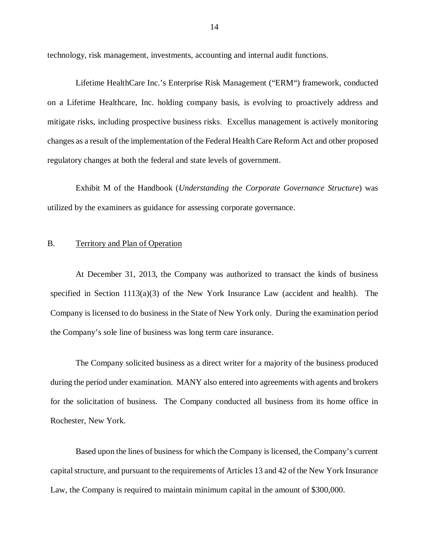<span id="page-15-0"></span>technology, risk management, investments, accounting and internal audit functions.

 Lifetime HealthCare Inc.'s Enterprise Risk Management ("ERM") framework, conducted on a Lifetime Healthcare, Inc. holding company basis, is evolving to proactively address and mitigate risks, including prospective business risks. Excellus management is actively monitoring changes as a result of the implementation of the Federal Health Care Reform Act and other proposed regulatory changes at both the federal and state levels of government.

 Exhibit M of the Handbook (*Understanding the Corporate Governance Structure*) was utilized by the examiners as guidance for assessing corporate governance.

#### B. Territory and Plan of Operation

 At December 31, 2013, the Company was authorized to transact the kinds of business specified in Section 1113(a)(3) of the New York Insurance Law (accident and health). The Company is licensed to do business in the State of New York only. During the examination period the Company's sole line of business was long term care insurance.

 The Company solicited business as a direct writer for a majority of the business produced during the period under examination. MANY also entered into agreements with agents and brokers for the solicitation of business. The Company conducted all business from its home office in Rochester, New York.

 Based upon the lines of business for which the Company is licensed, the Company's current capital structure, and pursuant to the requirements of Articles 13 and 42 of the New York Insurance Law, the Company is required to maintain minimum capital in the amount of \$300,000.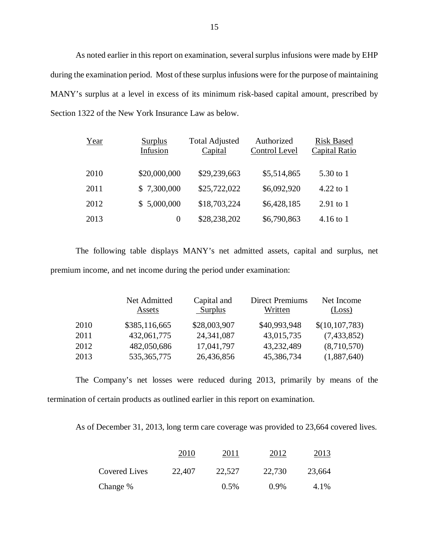As noted earlier in this report on examination, several surplus infusions were made by EHP during the examination period. Most of these surplus infusions were for the purpose of maintaining MANY's surplus at a level in excess of its minimum risk-based capital amount, prescribed by Section 1322 of the New York Insurance Law as below.

| Year | <b>Surplus</b><br>Infusion | <b>Total Adjusted</b><br>Capital | Authorized<br>Control Level | <b>Risk Based</b><br>Capital Ratio |
|------|----------------------------|----------------------------------|-----------------------------|------------------------------------|
| 2010 | \$20,000,000               | \$29,239,663                     | \$5,514,865                 | 5.30 to 1                          |
| 2011 | \$7,300,000                | \$25,722,022                     | \$6,092,920                 | 4.22 to $1$                        |
| 2012 | \$5,000,000                | \$18,703,224                     | \$6,428,185                 | $2.91$ to 1                        |
| 2013 | $\Omega$                   | \$28,238,202                     | \$6,790,863                 | $4.16$ to 1                        |

 The following table displays MANY's net admitted assets, capital and surplus, net premium income, and net income during the period under examination:

|      | Net Admitted<br>Assets | Capital and<br>Surplus | <b>Direct Premiums</b><br>Written | Net Income<br>(Loss) |
|------|------------------------|------------------------|-----------------------------------|----------------------|
| 2010 | \$385,116,665          | \$28,003,907           | \$40,993,948                      | \$(10, 107, 783)     |
| 2011 | 432,061,775            | 24,341,087             | 43,015,735                        | (7,433,852)          |
| 2012 | 482,050,686            | 17,041,797             | 43,232,489                        | (8,710,570)          |
| 2013 | 535, 365, 775          | 26,436,856             | 45,386,734                        | (1,887,640)          |

 termination of certain products as outlined earlier in this report on examination. The Company's net losses were reduced during 2013, primarily by means of the

As of December 31, 2013, long term care coverage was provided to 23,664 covered lives.

|               | 2010   | 2011    | 2012    | 2013   |
|---------------|--------|---------|---------|--------|
| Covered Lives | 22,407 | 22,527  | 22,730  | 23,664 |
| Change %      |        | $0.5\%$ | $0.9\%$ | 4.1%   |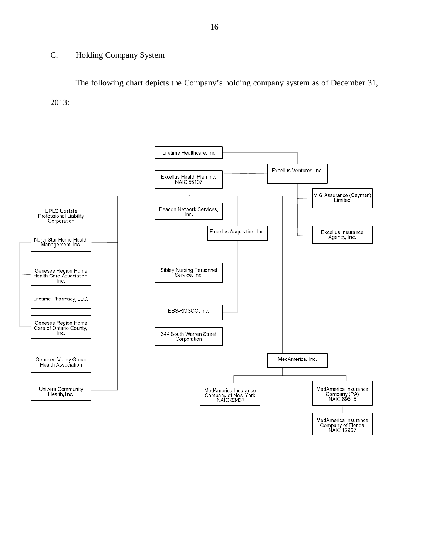#### <span id="page-17-0"></span>C. Holding Company System

 The following chart depicts the Company's holding company system as of December 31, 2013:

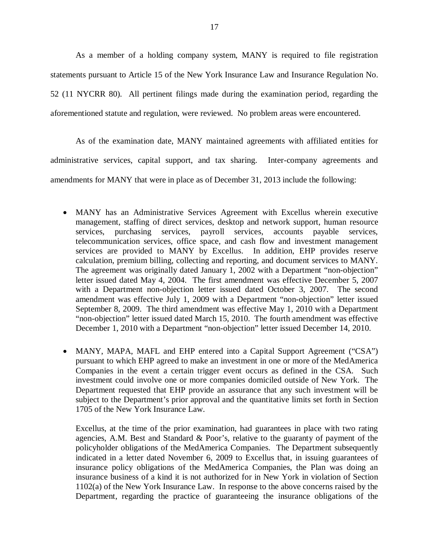As a member of a holding company system, MANY is required to file registration statements pursuant to Article 15 of the New York Insurance Law and Insurance Regulation No. 52 (11 NYCRR 80). All pertinent filings made during the examination period, regarding the aforementioned statute and regulation, were reviewed. No problem areas were encountered.

 As of the examination date, MANY maintained agreements with affiliated entities for administrative services, capital support, and tax sharing. Inter-company agreements and amendments for MANY that were in place as of December 31, 2013 include the following:

- MANY has an Administrative Services Agreement with Excellus wherein executive management, staffing of direct services, desktop and network support, human resource services, purchasing services, payroll services, accounts payable services, telecommunication services, office space, and cash flow and investment management services are provided to MANY by Excellus. In addition, EHP provides reserve calculation, premium billing, collecting and reporting, and document services to MANY. The agreement was originally dated January 1, 2002 with a Department "non-objection" letter issued dated May 4, 2004. The first amendment was effective December 5, 2007 with a Department non-objection letter issued dated October 3, 2007. The second amendment was effective July 1, 2009 with a Department "non-objection" letter issued September 8, 2009. The third amendment was effective May 1, 2010 with a Department "non-objection" letter issued dated March 15, 2010. The fourth amendment was effective December 1, 2010 with a Department "non-objection" letter issued December 14, 2010.
- MANY, MAPA, MAFL and EHP entered into a Capital Support Agreement ("CSA") pursuant to which EHP agreed to make an investment in one or more of the MedAmerica Companies in the event a certain trigger event occurs as defined in the CSA. Such investment could involve one or more companies domiciled outside of New York. The Department requested that EHP provide an assurance that any such investment will be subject to the Department's prior approval and the quantitative limits set forth in Section 1705 of the New York Insurance Law.

 Excellus, at the time of the prior examination, had guarantees in place with two rating agencies, A.M. Best and Standard & Poor's, relative to the guaranty of payment of the policyholder obligations of the MedAmerica Companies. The Department subsequently indicated in a letter dated November 6, 2009 to Excellus that, in issuing guarantees of insurance policy obligations of the MedAmerica Companies, the Plan was doing an insurance business of a kind it is not authorized for in New York in violation of Section 1102(a) of the New York Insurance Law. In response to the above concerns raised by the Department, regarding the practice of guaranteeing the insurance obligations of the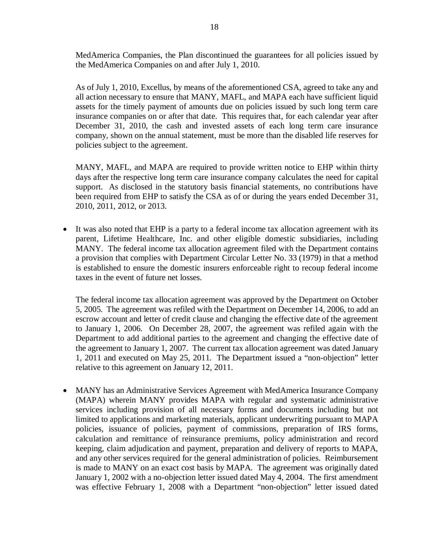MedAmerica Companies, the Plan discontinued the guarantees for all policies issued by the MedAmerica Companies on and after July 1, 2010.

 As of July 1, 2010, Excellus, by means of the aforementioned CSA, agreed to take any and all action necessary to ensure that MANY, MAFL, and MAPA each have sufficient liquid assets for the timely payment of amounts due on policies issued by such long term care insurance companies on or after that date. This requires that, for each calendar year after December 31, 2010, the cash and invested assets of each long term care insurance company, shown on the annual statement, must be more than the disabled life reserves for policies subject to the agreement.

 MANY, MAFL, and MAPA are required to provide written notice to EHP within thirty days after the respective long term care insurance company calculates the need for capital support. As disclosed in the statutory basis financial statements, no contributions have been required from EHP to satisfy the CSA as of or during the years ended December 31, 2010, 2011, 2012, or 2013.

 It was also noted that EHP is a party to a federal income tax allocation agreement with its parent, Lifetime Healthcare, Inc. and other eligible domestic subsidiaries, including MANY. The federal income tax allocation agreement filed with the Department contains a provision that complies with Department Circular Letter No. 33 (1979) in that a method is established to ensure the domestic insurers enforceable right to recoup federal income taxes in the event of future net losses.

 The federal income tax allocation agreement was approved by the Department on October 5, 2005. The agreement was refiled with the Department on December 14, 2006, to add an escrow account and letter of credit clause and changing the effective date of the agreement to January 1, 2006. On December 28, 2007, the agreement was refiled again with the Department to add additional parties to the agreement and changing the effective date of the agreement to January 1, 2007. The current tax allocation agreement was dated January 1, 2011 and executed on May 25, 2011. The Department issued a "non-objection" letter relative to this agreement on January 12, 2011.

 MANY has an Administrative Services Agreement with MedAmerica Insurance Company (MAPA) wherein MANY provides MAPA with regular and systematic administrative services including provision of all necessary forms and documents including but not limited to applications and marketing materials, applicant underwriting pursuant to MAPA policies, issuance of policies, payment of commissions, preparation of IRS forms, calculation and remittance of reinsurance premiums, policy administration and record keeping, claim adjudication and payment, preparation and delivery of reports to MAPA, and any other services required for the general administration of policies. Reimbursement is made to MANY on an exact cost basis by MAPA. The agreement was originally dated January 1, 2002 with a no-objection letter issued dated May 4, 2004. The first amendment was effective February 1, 2008 with a Department "non-objection" letter issued dated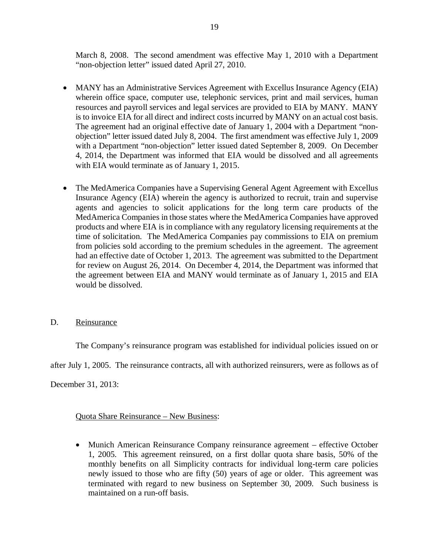<span id="page-20-0"></span> March 8, 2008. The second amendment was effective May 1, 2010 with a Department "non-objection letter" issued dated April 27, 2010.

- MANY has an Administrative Services Agreement with Excellus Insurance Agency (EIA) wherein office space, computer use, telephonic services, print and mail services, human resources and payroll services and legal services are provided to EIA by MANY. MANY is to invoice EIA for all direct and indirect costs incurred by MANY on an actual cost basis. The agreement had an original effective date of January 1, 2004 with a Department "non- objection" letter issued dated July 8, 2004. The first amendment was effective July 1, 2009 with a Department "non-objection" letter issued dated September 8, 2009. On December 4, 2014, the Department was informed that EIA would be dissolved and all agreements with EIA would terminate as of January 1, 2015.
- The MedAmerica Companies have a Supervising General Agent Agreement with Excellus Insurance Agency (EIA) wherein the agency is authorized to recruit, train and supervise agents and agencies to solicit applications for the long term care products of the MedAmerica Companies in those states where the MedAmerica Companies have approved products and where EIA is in compliance with any regulatory licensing requirements at the time of solicitation. The MedAmerica Companies pay commissions to EIA on premium from policies sold according to the premium schedules in the agreement. The agreement had an effective date of October 1, 2013. The agreement was submitted to the Department for review on August 26, 2014. On December 4, 2014, the Department was informed that the agreement between EIA and MANY would terminate as of January 1, 2015 and EIA would be dissolved.

#### D. Reinsurance

The Company's reinsurance program was established for individual policies issued on or

after July 1, 2005. The reinsurance contracts, all with authorized reinsurers, were as follows as of

December 31, 2013:

#### Quota Share Reinsurance – New Business:

 Munich American Reinsurance Company reinsurance agreement – effective October 1, 2005. This agreement reinsured, on a first dollar quota share basis, 50% of the monthly benefits on all Simplicity contracts for individual long-term care policies newly issued to those who are fifty (50) years of age or older. This agreement was terminated with regard to new business on September 30, 2009. Such business is maintained on a run-off basis.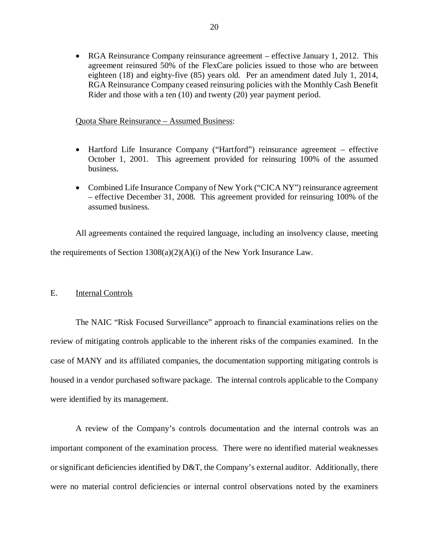<span id="page-21-0"></span> RGA Reinsurance Company reinsurance agreement – effective January 1, 2012. This agreement reinsured 50% of the FlexCare policies issued to those who are between eighteen (18) and eighty-five (85) years old. Per an amendment dated July 1, 2014, RGA Reinsurance Company ceased reinsuring policies with the Monthly Cash Benefit Rider and those with a ten (10) and twenty (20) year payment period.

#### Quota Share Reinsurance – Assumed Business:

- Hartford Life Insurance Company ("Hartford") reinsurance agreement effective October 1, 2001. This agreement provided for reinsuring 100% of the assumed business.
- Combined Life Insurance Company of New York ("CICA NY") reinsurance agreement – effective December 31, 2008. This agreement provided for reinsuring 100% of the assumed business.

 All agreements contained the required language, including an insolvency clause, meeting the requirements of Section 1308(a)(2)(A)(i) of the New York Insurance Law.

#### Ε. **Internal Controls**

 review of mitigating controls applicable to the inherent risks of the companies examined. In the case of MANY and its affiliated companies, the documentation supporting mitigating controls is housed in a vendor purchased software package. The internal controls applicable to the Company were identified by its management. The NAIC "Risk Focused Surveillance" approach to financial examinations relies on the

 important component of the examination process. There were no identified material weaknesses or significant deficiencies identified by  $D&T$ , the Company's external auditor. Additionally, there were no material control deficiencies or internal control observations noted by the examiners A review of the Company's controls documentation and the internal controls was an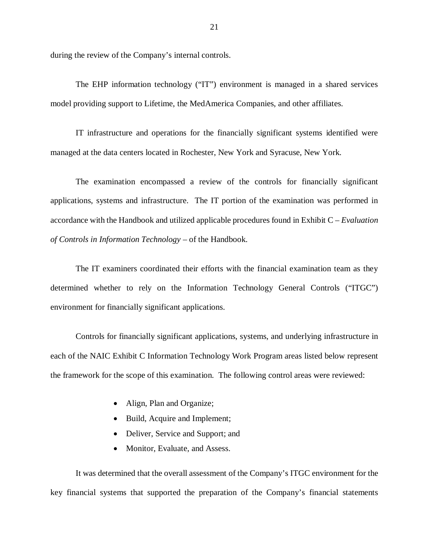during the review of the Company's internal controls.

 model providing support to Lifetime, the MedAmerica Companies, and other affiliates. The EHP information technology ("IT") environment is managed in a shared services

 managed at the data centers located in Rochester, New York and Syracuse, New York. IT infrastructure and operations for the financially significant systems identified were

 applications, systems and infrastructure. The IT portion of the examination was performed in accordance with the Handbook and utilized applicable procedures found in Exhibit C – *Evaluation of Controls in Information Technology* – of the Handbook. The examination encompassed a review of the controls for financially significant

 determined whether to rely on the Information Technology General Controls ("ITGC") environment for financially significant applications. The IT examiners coordinated their efforts with the financial examination team as they

 Controls for financially significant applications, systems, and underlying infrastructure in each of the NAIC Exhibit C Information Technology Work Program areas listed below represent the framework for the scope of this examination. The following control areas were reviewed:

- Align, Plan and Organize;
- Build, Acquire and Implement;
- Deliver, Service and Support; and
- Monitor, Evaluate, and Assess.

 key financial systems that supported the preparation of the Company's financial statements It was determined that the overall assessment of the Company's ITGC environment for the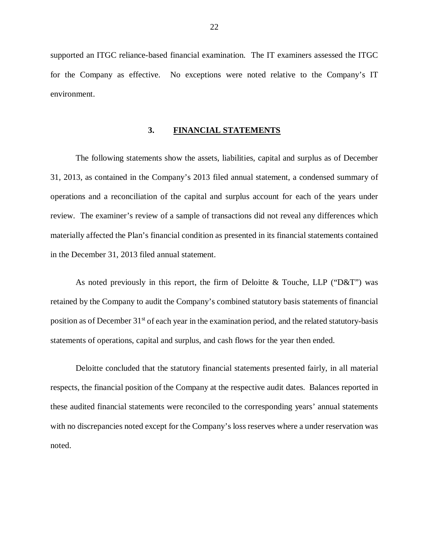<span id="page-23-0"></span> supported an ITGC reliance-based financial examination. The IT examiners assessed the ITGC for the Company as effective. No exceptions were noted relative to the Company's IT environment.

#### **3. FINANCIAL STATEMENTS**

 The following statements show the assets, liabilities, capital and surplus as of December 31, 2013, as contained in the Company's 2013 filed annual statement, a condensed summary of operations and a reconciliation of the capital and surplus account for each of the years under review. The examiner's review of a sample of transactions did not reveal any differences which materially affected the Plan's financial condition as presented in its financial statements contained in the December 31, 2013 filed annual statement.

 As noted previously in this report, the firm of Deloitte & Touche, LLP ("D&T") was retained by the Company to audit the Company's combined statutory basis statements of financial position as of December 31<sup>st</sup> of each year in the examination period, and the related statutory-basis statements of operations, capital and surplus, and cash flows for the year then ended.

 Deloitte concluded that the statutory financial statements presented fairly, in all material respects, the financial position of the Company at the respective audit dates. Balances reported in these audited financial statements were reconciled to the corresponding years' annual statements with no discrepancies noted except for the Company's loss reserves where a under reservation was noted.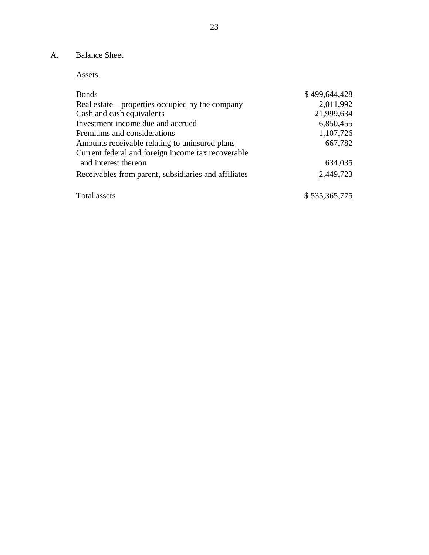#### <span id="page-24-0"></span>A. Balance Sheet

Assets

| <b>Bonds</b>                                         | \$499,644,428 |
|------------------------------------------------------|---------------|
| Real estate – properties occupied by the company     | 2,011,992     |
| Cash and cash equivalents                            | 21,999,634    |
| Investment income due and accrued                    | 6,850,455     |
| Premiums and considerations                          | 1,107,726     |
| Amounts receivable relating to uninsured plans       | 667,782       |
| Current federal and foreign income tax recoverable   |               |
| and interest thereon                                 | 634,035       |
| Receivables from parent, subsidiaries and affiliates | 2,449,723     |
| Total assets                                         | \$535,365,775 |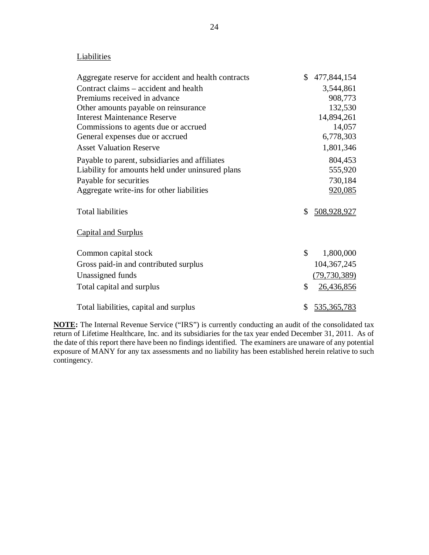#### **Liabilities**

| Aggregate reserve for accident and health contracts | \$<br>477,844,154       |
|-----------------------------------------------------|-------------------------|
| Contract claims – accident and health               | 3,544,861               |
| Premiums received in advance                        | 908,773                 |
| Other amounts payable on reinsurance                | 132,530                 |
| <b>Interest Maintenance Reserve</b>                 | 14,894,261              |
| Commissions to agents due or accrued                | 14,057                  |
| General expenses due or accrued                     | 6,778,303               |
| <b>Asset Valuation Reserve</b>                      | 1,801,346               |
| Payable to parent, subsidiaries and affiliates      | 804,453                 |
| Liability for amounts held under uninsured plans    | 555,920                 |
| Payable for securities                              | 730,184                 |
| Aggregate write-ins for other liabilities           | 920,085                 |
|                                                     |                         |
| <b>Total liabilities</b>                            | \$<br>508,928,927       |
|                                                     |                         |
| <b>Capital and Surplus</b>                          |                         |
|                                                     | \$                      |
| Common capital stock                                | 1,800,000               |
| Gross paid-in and contributed surplus               | 104, 367, 245           |
| Unassigned funds                                    | (79, 730, 389)          |
| Total capital and surplus                           | \$<br><u>26,436,856</u> |
|                                                     |                         |
| Total liabilities, capital and surplus              | \$<br>535,365,783       |

 **NOTE:** The Internal Revenue Service ("IRS") is currently conducting an audit of the consolidated tax return of Lifetime Healthcare, Inc. and its subsidiaries for the tax year ended December 31, 2011. As of the date of this report there have been no findings identified. The examiners are unaware of any potential exposure of MANY for any tax assessments and no liability has been established herein relative to such contingency.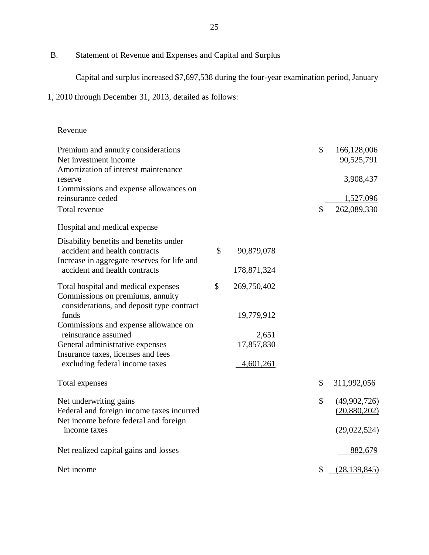B. Statement of Revenue and Expenses and Capital and Surplus

Capital and surplus increased \$7,697,538 during the four-year examination period, January

1, 2010 through December 31, 2013, detailed as follows:

#### Revenue

| Premium and annuity considerations          |               |                    | \$<br>166,128,006    |
|---------------------------------------------|---------------|--------------------|----------------------|
| Net investment income                       |               |                    | 90,525,791           |
| Amortization of interest maintenance        |               |                    |                      |
| reserve                                     |               |                    | 3,908,437            |
| Commissions and expense allowances on       |               |                    |                      |
| reinsurance ceded                           |               |                    | 1,527,096            |
| Total revenue                               |               |                    | \$<br>262,089,330    |
| <b>Hospital and medical expense</b>         |               |                    |                      |
| Disability benefits and benefits under      |               |                    |                      |
| accident and health contracts               | \$            | 90,879,078         |                      |
| Increase in aggregate reserves for life and |               |                    |                      |
| accident and health contracts               |               | <u>178,871,324</u> |                      |
| Total hospital and medical expenses         | $\mathcal{S}$ | 269,750,402        |                      |
| Commissions on premiums, annuity            |               |                    |                      |
| considerations, and deposit type contract   |               |                    |                      |
| funds                                       |               | 19,779,912         |                      |
| Commissions and expense allowance on        |               |                    |                      |
| reinsurance assumed                         |               | 2,651              |                      |
| General administrative expenses             |               | 17,857,830         |                      |
| Insurance taxes, licenses and fees          |               |                    |                      |
| excluding federal income taxes              |               | 4,601,261          |                      |
| Total expenses                              |               |                    | \$<br>311,992,056    |
| Net underwriting gains                      |               |                    | \$<br>(49,902,726)   |
| Federal and foreign income taxes incurred   |               |                    | (20,880,202)         |
| Net income before federal and foreign       |               |                    |                      |
| income taxes                                |               |                    | (29,022,524)         |
|                                             |               |                    |                      |
| Net realized capital gains and losses       |               |                    | 882,679              |
| Net income                                  |               |                    | \$<br>(28, 139, 845) |
|                                             |               |                    |                      |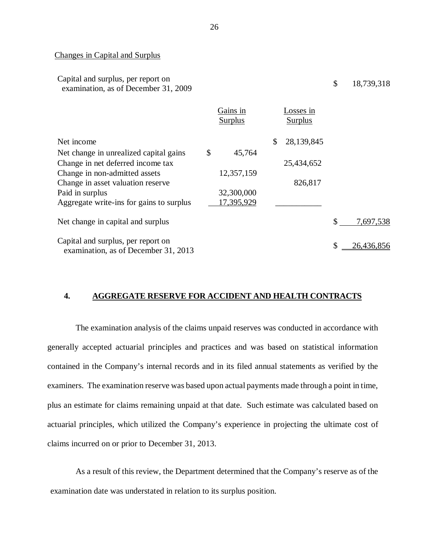#### Changes in Capital and Surplus

| Capital and surplus, per report on<br>examination, as of December 31, 2009 |                            |                             | \$<br>18,739,318 |
|----------------------------------------------------------------------------|----------------------------|-----------------------------|------------------|
|                                                                            | Gains in<br><b>Surplus</b> | Losses in<br><b>Surplus</b> |                  |
| Net income                                                                 |                            | \$<br>28,139,845            |                  |
| Net change in unrealized capital gains                                     | \$<br>45,764               |                             |                  |
| Change in net deferred income tax                                          |                            | 25,434,652                  |                  |
| Change in non-admitted assets                                              | 12,357,159                 |                             |                  |
| Change in asset valuation reserve                                          |                            | 826,817                     |                  |
| Paid in surplus                                                            | 32,300,000                 |                             |                  |
| Aggregate write-ins for gains to surplus                                   | 17,395,929                 |                             |                  |
| Net change in capital and surplus                                          |                            |                             | \$<br>7,697,538  |
| Capital and surplus, per report on<br>examination, as of December 31, 2013 |                            |                             | \$<br>26,436,856 |
|                                                                            |                            |                             |                  |

#### **4. AGGREGATE RESERVE FOR ACCIDENT AND HEALTH CONTRACTS**

 generally accepted actuarial principles and practices and was based on statistical information contained in the Company's internal records and in its filed annual statements as verified by the examiners. The examination reserve was based upon actual payments made through a point in time, plus an estimate for claims remaining unpaid at that date. Such estimate was calculated based on actuarial principles, which utilized the Company's experience in projecting the ultimate cost of claims incurred on or prior to December 31, 2013. The examination analysis of the claims unpaid reserves was conducted in accordance with

 As a result of this review, the Department determined that the Company's reserve as of the examination date was understated in relation to its surplus position.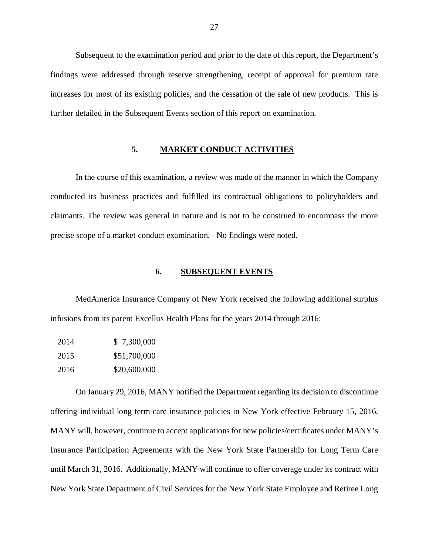Subsequent to the examination period and prior to the date of this report, the Department's findings were addressed through reserve strengthening, receipt of approval for premium rate increases for most of its existing policies, and the cessation of the sale of new products. This is further detailed in the Subsequent Events section of this report on examination.

#### **5. MARKET CONDUCT ACTIVITIES**

 In the course of this examination, a review was made of the manner in which the Company conducted its business practices and fulfilled its contractual obligations to policyholders and claimants. The review was general in nature and is not to be construed to encompass the more precise scope of a market conduct examination. No findings were noted.

#### **6. SUBSEQUENT EVENTS**

 MedAmerica Insurance Company of New York received the following additional surplus infusions from its parent Excellus Health Plans for the years 2014 through 2016:

| 2014 | \$7,300,000  |
|------|--------------|
| 2015 | \$51,700,000 |
| 2016 | \$20,600,000 |

 On January 29, 2016, MANY notified the Department regarding its decision to discontinue offering individual long term care insurance policies in New York effective February 15, 2016. MANY will, however, continue to accept applications for new policies/certificates under MANY's Insurance Participation Agreements with the New York State Partnership for Long Term Care until March 31, 2016. Additionally, MANY will continue to offer coverage under its contract with New York State Department of Civil Services for the New York State Employee and Retiree Long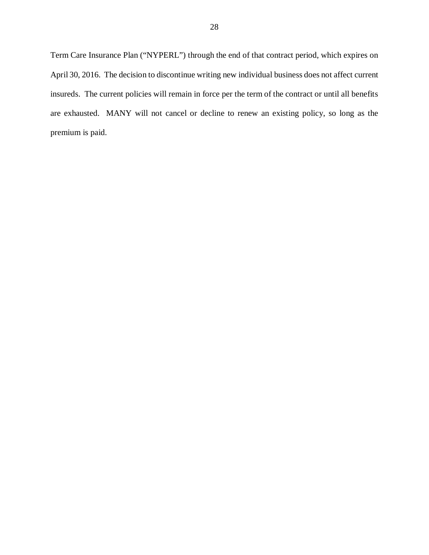Term Care Insurance Plan ("NYPERL") through the end of that contract period, which expires on April 30, 2016. The decision to discontinue writing new individual business does not affect current insureds. The current policies will remain in force per the term of the contract or until all benefits are exhausted. MANY will not cancel or decline to renew an existing policy, so long as the premium is paid.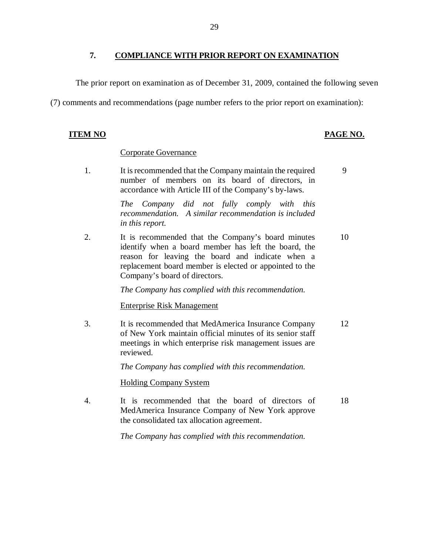#### <span id="page-30-0"></span> **7. COMPLIANCE WITH PRIOR REPORT ON EXAMINATION**

The prior report on examination as of December 31, 2009, contained the following seven

(7) comments and recommendations (page number refers to the prior report on examination):

#### **ITEM NO**

#### **PAGE NO.**

#### Corporate Governance

1. number of members on its board of directors, in accordance with Article III of the Company's by-laws. It is recommended that the Company maintain the required 9

> *The Company did not fully comply with this recommendation. A similar recommendation is included in this report.*

 $2<sup>1</sup>$  identify when a board member has left the board, the reason for leaving the board and indicate when a replacement board member is elected or appointed to the Company's board of directors. It is recommended that the Company's board minutes 10

 *The Company has complied with this recommendation.* 

#### Enterprise Risk Management

 $3<sub>1</sub>$  of New York maintain official minutes of its senior staff meetings in which enterprise risk management issues are It is recommended that MedAmerica Insurance Company 12 reviewed.

 *The Company has complied with this recommendation.* 

Holding Company System

 $\overline{4}$ . MedAmerica Insurance Company of New York approve the consolidated tax allocation agreement. It is recommended that the board of directors of 18

 *The Company has complied with this recommendation.*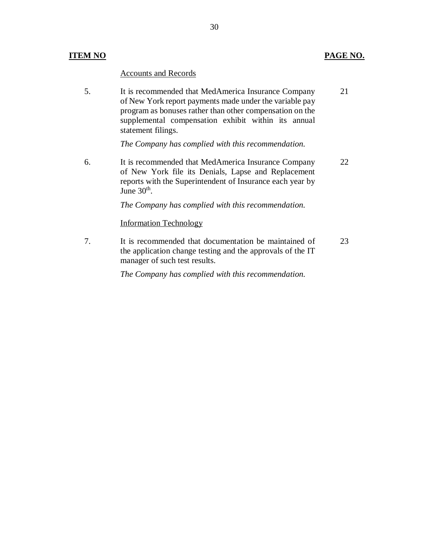#### **ITEM NO PAGE NO.**

#### Accounts and Records

5. of New York report payments made under the variable pay program as bonuses rather than other compensation on the supplemental compensation exhibit within its annual statement filings. It is recommended that MedAmerica Insurance Company 21

 *The Company has complied with this recommendation.* 

6. of New York file its Denials, Lapse and Replacement reports with the Superintendent of Insurance each year by June  $30<sup>th</sup>$ . It is recommended that MedAmerica Insurance Company 22

 *The Company has complied with this recommendation.* 

#### Information Technology

 $7.$  the application change testing and the approvals of the IT manager of such test results. It is recommended that documentation be maintained of 23

 *The Company has complied with this recommendation.*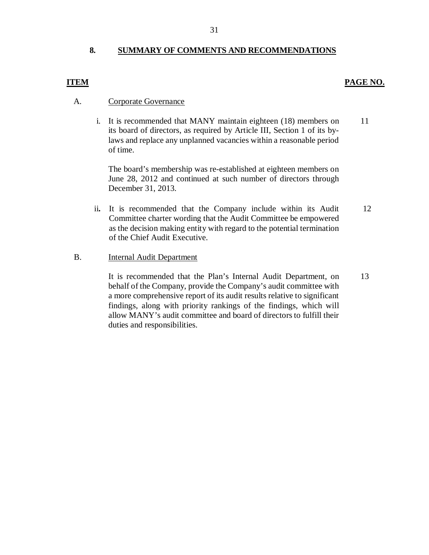#### **8. SUMMARY OF COMMENTS AND RECOMMENDATIONS**

#### **ITEM**

#### A. Corporate Governance

 i. It is recommended that MANY maintain eighteen (18) members on its board of directors, as required by Article III, Section 1 of its by- laws and replace any unplanned vacancies within a reasonable period of time. 11

 The board's membership was re-established at eighteen members on June 28, 2012 and continued at such number of directors through December 31, 2013.

 ii**.**  It is recommended that the Company include within its Audit Committee charter wording that the Audit Committee be empowered as the decision making entity with regard to the potential termination of the Chief Audit Executive. 12

#### Internal Audit Department B.

 It is recommended that the Plan's Internal Audit Department, on behalf of the Company, provide the Company's audit committee with a more comprehensive report of its audit results relative to significant findings, along with priority rankings of the findings, which will allow MANY's audit committee and board of directors to fulfill their duties and responsibilities. **PAGE NO.**<br> **PAGE NO.**<br> **PAGE NO.**<br>
It is recommended that MANY maintain eighteen (18) members on<br>
its board of directors, as required by Article III, Section 1 of its by-<br>
laws and replace any unplanned vacancies within a 13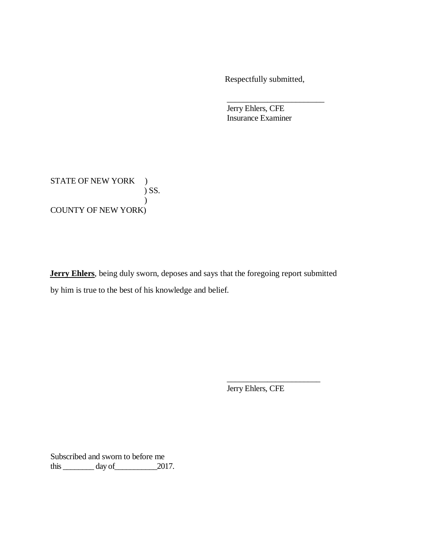Respectfully submitted,

\_\_\_\_\_\_\_\_\_\_\_\_\_\_\_\_\_\_\_\_\_\_\_\_

 Jerry Ehlers, CFE Insurance Examiner

STATE OF NEW YORK ) COUNTY OF NEW YORK)  $\sum$  SS.  $\lambda$ 

 **Jerry Ehlers**, being duly sworn, deposes and says that the foregoing report submitted by him is true to the best of his knowledge and belief.

Jerry Ehlers, CFE

\_\_\_\_\_\_\_\_\_\_\_\_\_\_\_\_\_\_\_\_\_\_\_

 Subscribed and sworn to before me this  $\_\_\_\_\_\_\$  day of  $\_\_\_\_\_2$  2017.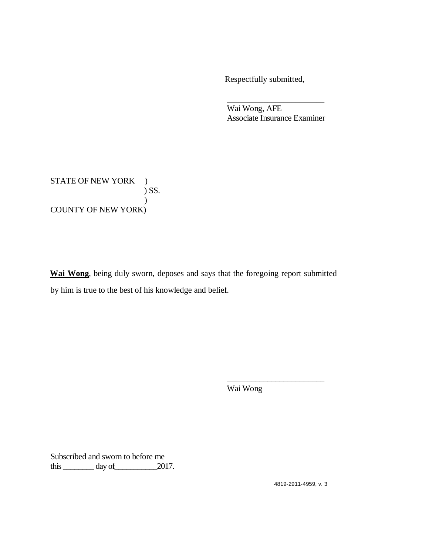Respectfully submitted,

 Wai Wong, AFE Associate Insurance Examiner \_\_\_\_\_\_\_\_\_\_\_\_\_\_\_\_\_\_\_\_\_\_\_\_

STATE OF NEW YORK ) COUNTY OF NEW YORK)  $\sum$  SS.  $\lambda$ 

 **Wai Wong**, being duly sworn, deposes and says that the foregoing report submitted by him is true to the best of his knowledge and belief.

Wai Wong

\_\_\_\_\_\_\_\_\_\_\_\_\_\_\_\_\_\_\_\_\_\_\_\_

 Subscribed and sworn to before me this  $\_\_\_\_\_\_\$  day of  $\_\_\_\_\_2$  2017.

4819-2911-4959, v. 3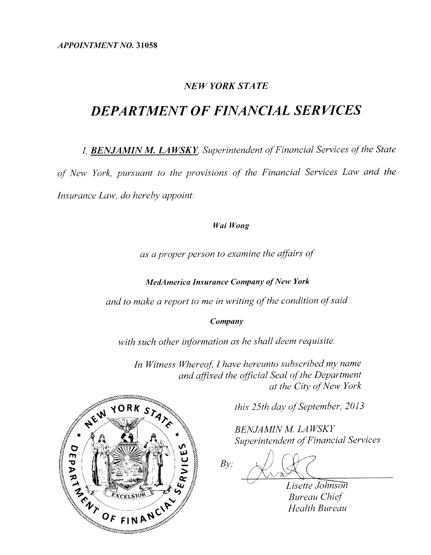**APPOINTMENT NO. 31058** 

### **NEW YORK STATE**

# **DEPARTMENT OF FINANCIAL SERVICES**

I, **BENJAMIN M. LAWSKY**, Superintendent of Financial Services of the State of New York, pursuant to the provisions of the Financial Services Law and the Insurance Law, do hereby appoint:

#### Wai Wong

as a proper person to examine the affairs of

**MedAmerica Insurance Company of New York** 

and to make a report to me in writing of the condition of said

Company

with such other information as he shall deem requisite.

In Witness Whereof, I have hereunto subscribed my name and affixed the official Seal of the Department at the City of New York



this 25th day of September, 2013

**BENJAMIN M. LAWSKY** Superintendent of Financial Services

 $Bv$ 

Lisette Johnson **Bureau Chief Health Bureau**